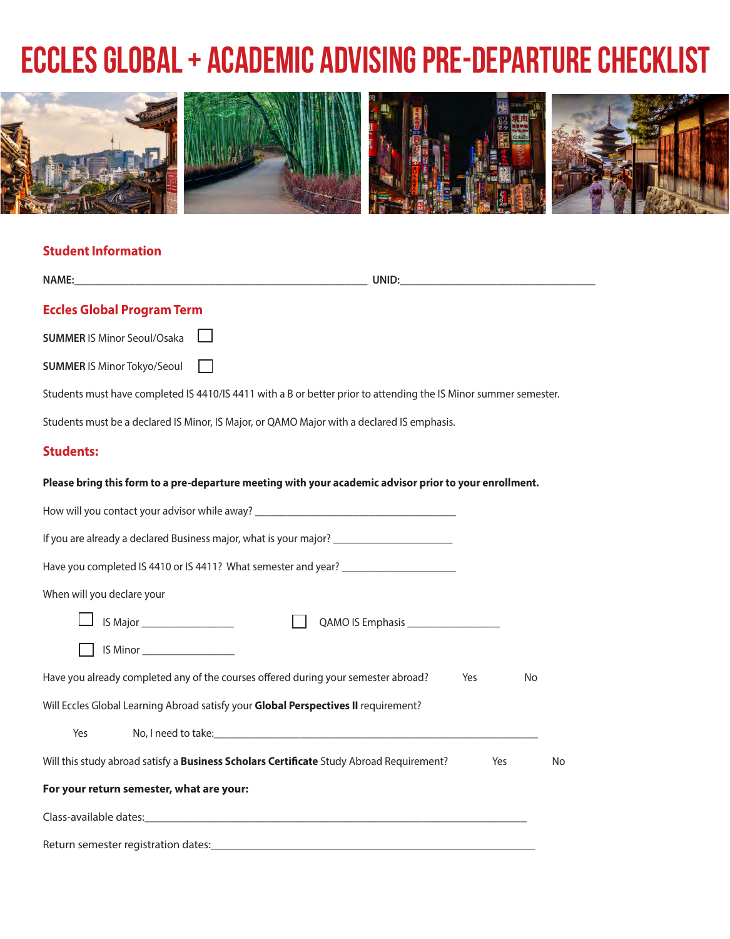## **Eccles Global + Academic Advising Pre-Departure Checklist**



## **Student Information**

| <b>NAME:</b>                                                                                                                                                                                                                                                     | UNID: the contract of the contract of the contract of the contract of the contract of the contract of the contract of the contract of the contract of the contract of the contract of the contract of the contract of the cont |     |    |
|------------------------------------------------------------------------------------------------------------------------------------------------------------------------------------------------------------------------------------------------------------------|--------------------------------------------------------------------------------------------------------------------------------------------------------------------------------------------------------------------------------|-----|----|
| <b>Eccles Global Program Term</b>                                                                                                                                                                                                                                |                                                                                                                                                                                                                                |     |    |
| <b>SUMMER IS Minor Seoul/Osaka</b>                                                                                                                                                                                                                               |                                                                                                                                                                                                                                |     |    |
| <b>SUMMER IS Minor Tokyo/Seoul</b>                                                                                                                                                                                                                               |                                                                                                                                                                                                                                |     |    |
| Students must have completed IS 4410/IS 4411 with a B or better prior to attending the IS Minor summer semester.                                                                                                                                                 |                                                                                                                                                                                                                                |     |    |
|                                                                                                                                                                                                                                                                  | Students must be a declared IS Minor, IS Major, or QAMO Major with a declared IS emphasis.                                                                                                                                     |     |    |
| <b>Students:</b>                                                                                                                                                                                                                                                 |                                                                                                                                                                                                                                |     |    |
| Please bring this form to a pre-departure meeting with your academic advisor prior to your enrollment.                                                                                                                                                           |                                                                                                                                                                                                                                |     |    |
| How will you contact your advisor while away?<br>How will you contact your advisor while away?                                                                                                                                                                   |                                                                                                                                                                                                                                |     |    |
| If you are already a declared Business major, what is your major?                                                                                                                                                                                                |                                                                                                                                                                                                                                |     |    |
| Have you completed IS 4410 or IS 4411? What semester and year?                                                                                                                                                                                                   |                                                                                                                                                                                                                                |     |    |
| When will you declare your                                                                                                                                                                                                                                       |                                                                                                                                                                                                                                |     |    |
| IS Major<br>Sales Major<br>Sales Major<br>Sales Major<br>Sales Major<br>Sales Major<br>Sales Major<br>Sales Major<br>Sales Major<br>Sales Major<br>Sales Major<br>Sales Major<br>Sales Major<br>Sales Major<br>Sales Major<br>Sales Major<br>Sales Major<br>Sale |                                                                                                                                                                                                                                |     |    |
| IS Minor __________________                                                                                                                                                                                                                                      |                                                                                                                                                                                                                                |     |    |
| Have you already completed any of the courses offered during your semester abroad?                                                                                                                                                                               |                                                                                                                                                                                                                                | Yes | No |
| Will Eccles Global Learning Abroad satisfy your Global Perspectives II requirement?                                                                                                                                                                              |                                                                                                                                                                                                                                |     |    |
| Yes                                                                                                                                                                                                                                                              |                                                                                                                                                                                                                                |     |    |
| Will this study abroad satisfy a Business Scholars Certificate Study Abroad Requirement?                                                                                                                                                                         |                                                                                                                                                                                                                                | Yes | No |
| For your return semester, what are your:                                                                                                                                                                                                                         |                                                                                                                                                                                                                                |     |    |
| Class-available dates: example and a series of the series of the series of the series of the series of the series of the series of the series of the series of the series of the series of the series of the series of the ser                                   |                                                                                                                                                                                                                                |     |    |
| Return semester registration dates:                                                                                                                                                                                                                              |                                                                                                                                                                                                                                |     |    |